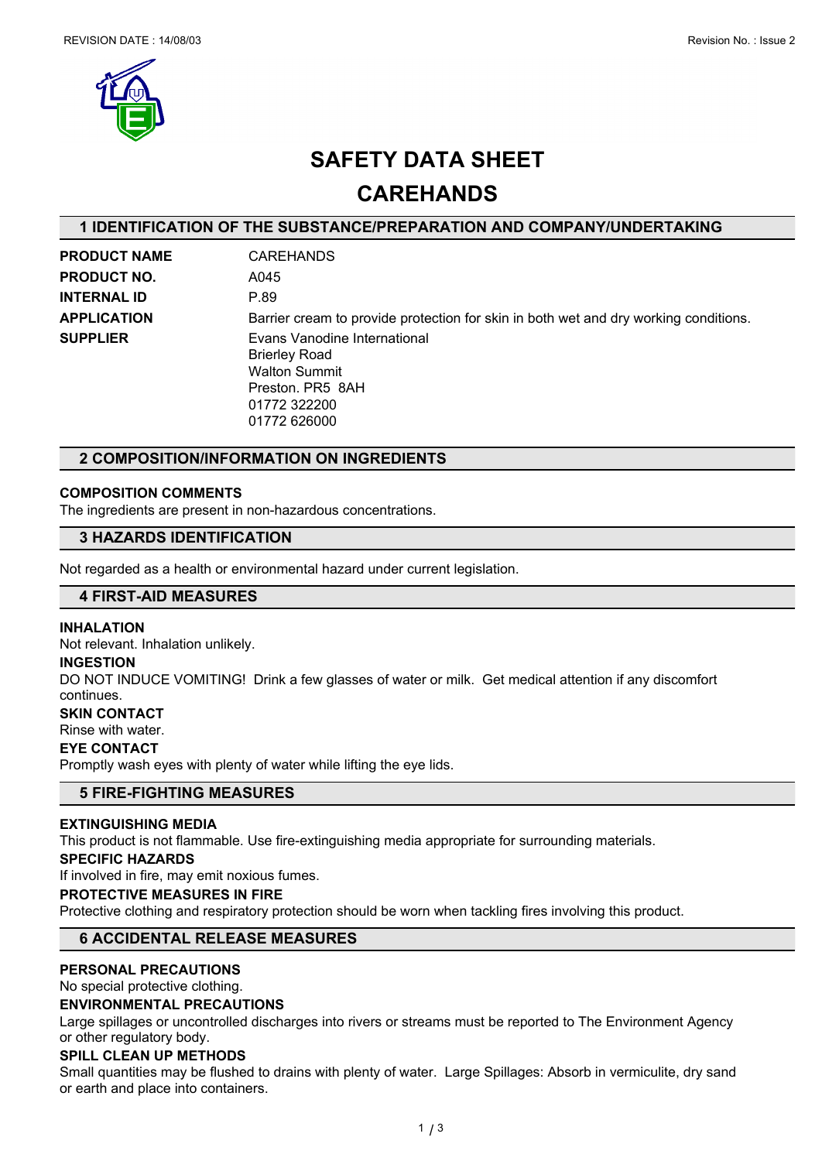

# **SAFETY DATA SHEET**

# **CAREHANDS**

# **1 IDENTIFICATION OF THE SUBSTANCE/PREPARATION AND COMPANY/UNDERTAKING**

**PRODUCT NAME** CAREHANDS **PRODUCT NO.** A045 **INTERNAL ID** P.89

**APPLICATION** Barrier cream to provide protection for skin in both wet and dry working conditions. **SUPPLIER** Evans Vanodine International Brierley Road Walton Summit Preston. PR5 8AH 01772 322200 01772 626000

# **2 COMPOSITION/INFORMATION ON INGREDIENTS**

#### **COMPOSITION COMMENTS**

The ingredients are present in non-hazardous concentrations.

#### **3 HAZARDS IDENTIFICATION**

Not regarded as a health or environmental hazard under current legislation.

#### **4 FIRST-AID MEASURES**

#### **INHALATION**

Not relevant. Inhalation unlikely.

# **INGESTION**

DO NOT INDUCE VOMITING! Drink a few glasses of water or milk. Get medical attention if any discomfort continues.

#### **SKIN CONTACT**

Rinse with water.

#### **EYE CONTACT**

Promptly wash eyes with plenty of water while lifting the eye lids.

# **5 FIRE-FIGHTING MEASURES**

#### **EXTINGUISHING MEDIA**

This product is not flammable. Use fire-extinguishing media appropriate for surrounding materials.

# **SPECIFIC HAZARDS**

If involved in fire, may emit noxious fumes.

#### **PROTECTIVE MEASURES IN FIRE**

Protective clothing and respiratory protection should be worn when tackling fires involving this product.

# **6 ACCIDENTAL RELEASE MEASURES**

#### **PERSONAL PRECAUTIONS**

#### No special protective clothing.

#### **ENVIRONMENTAL PRECAUTIONS**

Large spillages or uncontrolled discharges into rivers or streams must be reported to The Environment Agency or other regulatory body.

#### **SPILL CLEAN UP METHODS**

Small quantities may be flushed to drains with plenty of water. Large Spillages: Absorb in vermiculite, dry sand or earth and place into containers.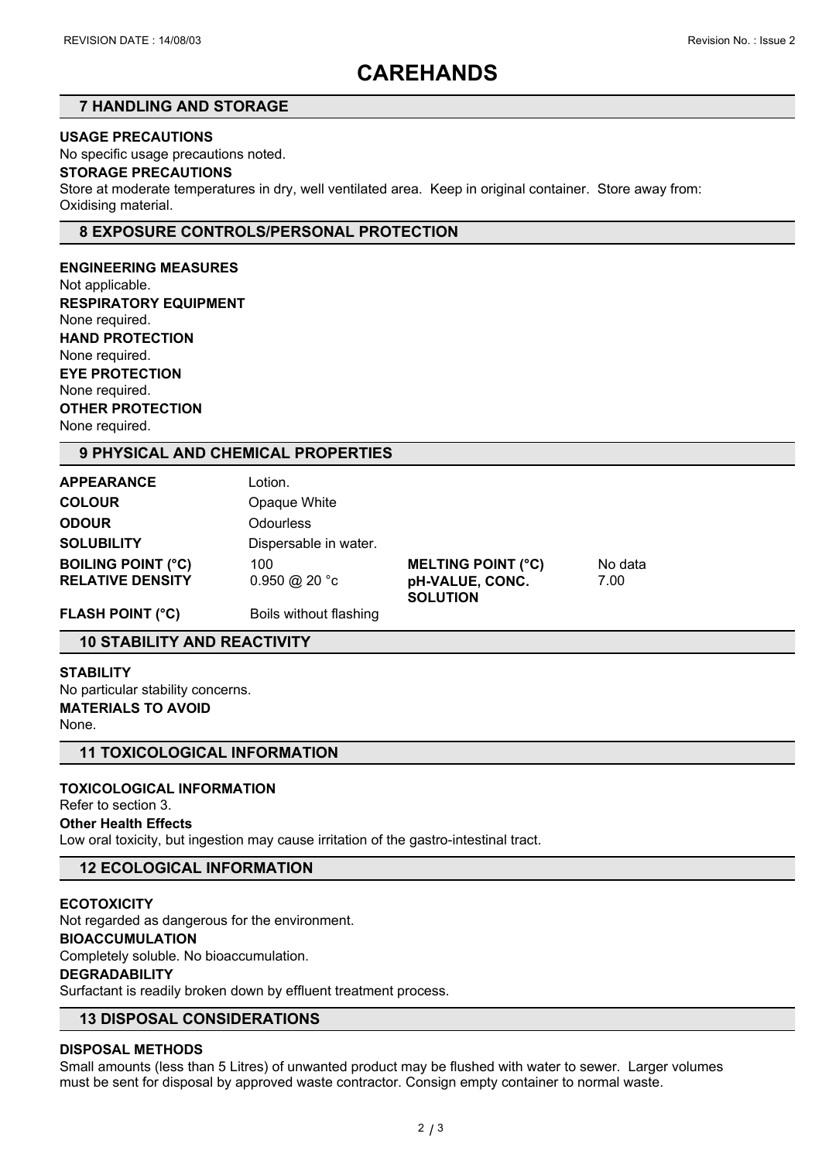# **CAREHANDS**

# **7 HANDLING AND STORAGE**

# **USAGE PRECAUTIONS**

No specific usage precautions noted.

#### **STORAGE PRECAUTIONS**

Store at moderate temperatures in dry, well ventilated area. Keep in original container. Store away from: Oxidising material.

# **8 EXPOSURE CONTROLS/PERSONAL PROTECTION**

**ENGINEERING MEASURES** Not applicable. **RESPIRATORY EQUIPMENT** None required. **HAND PROTECTION** None required. **EYE PROTECTION** None required. **OTHER PROTECTION** None required.

#### **9 PHYSICAL AND CHEMICAL PROPERTIES**

| <b>APPEARANCE</b>         | Lotion.                          |                                    |         |
|---------------------------|----------------------------------|------------------------------------|---------|
| <b>COLOUR</b>             | Opaque White                     |                                    |         |
| <b>ODOUR</b>              | <b>Odourless</b>                 |                                    |         |
| <b>SOLUBILITY</b>         | Dispersable in water.            |                                    |         |
| <b>BOILING POINT (°C)</b> | 100                              | <b>MELTING POINT (°C)</b>          | No data |
| <b>RELATIVE DENSITY</b>   | $0.950 \; \textcircled{a}$ 20 °c | pH-VALUE, CONC.<br><b>SOLUTION</b> | 7.00    |

**FLASH POINT (°C)** Boils without flashing

# **10 STABILITY AND REACTIVITY**

**STABILITY** No particular stability concerns. **MATERIALS TO AVOID** None.

# **11 TOXICOLOGICAL INFORMATION**

#### **TOXICOLOGICAL INFORMATION**

Refer to section 3.

#### **Other Health Effects**

Low oral toxicity, but ingestion may cause irritation of the gastro-intestinal tract.

# **12 ECOLOGICAL INFORMATION**

# **ECOTOXICITY**

Not regarded as dangerous for the environment.

#### **BIOACCUMULATION**

Completely soluble. No bioaccumulation.

#### **DEGRADABILITY**

Surfactant is readily broken down by effluent treatment process.

# **13 DISPOSAL CONSIDERATIONS**

# **DISPOSAL METHODS**

Small amounts (less than 5 Litres) of unwanted product may be flushed with water to sewer. Larger volumes must be sent for disposal by approved waste contractor. Consign empty container to normal waste.